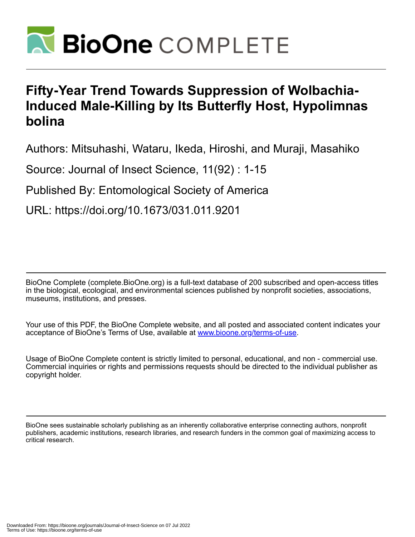

# **Fifty-Year Trend Towards Suppression of Wolbachia-Induced Male-Killing by Its Butterfly Host, Hypolimnas bolina**

Authors: Mitsuhashi, Wataru, Ikeda, Hiroshi, and Muraji, Masahiko

Source: Journal of Insect Science, 11(92) : 1-15

Published By: Entomological Society of America

URL: https://doi.org/10.1673/031.011.9201

BioOne Complete (complete.BioOne.org) is a full-text database of 200 subscribed and open-access titles in the biological, ecological, and environmental sciences published by nonprofit societies, associations, museums, institutions, and presses.

Your use of this PDF, the BioOne Complete website, and all posted and associated content indicates your acceptance of BioOne's Terms of Use, available at www.bioone.org/terms-of-use.

Usage of BioOne Complete content is strictly limited to personal, educational, and non - commercial use. Commercial inquiries or rights and permissions requests should be directed to the individual publisher as copyright holder.

BioOne sees sustainable scholarly publishing as an inherently collaborative enterprise connecting authors, nonprofit publishers, academic institutions, research libraries, and research funders in the common goal of maximizing access to critical research.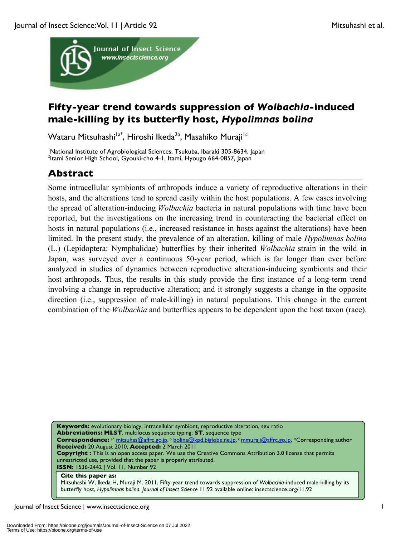

# **Fifty-year trend towards suppression of** *Wolbachia***-induced male-killing by its butterfly host,** *Hypolimnas bolina*

Wataru Mitsuhashi<sup>la\*</sup>, Hiroshi Ikeda<sup>2b</sup>, Masahiko Muraji<sup>lc</sup>

<sup>1</sup> National Institute of Agrobiological Sciences, Tsukuba, Ibaraki 305-8634, Japan <sup>2</sup>Itani Senior High School, Gyouki cho 4, Lutani Hyougo 664, 0857, Japan <sup>2</sup>Itami Senior High School, Gyouki-cho 4-1, Itami, Hyougo 664-0857, Japan

# **Abstract**

Some intracellular symbionts of arthropods induce a variety of reproductive alterations in their hosts, and the alterations tend to spread easily within the host populations. A few cases involving the spread of alteration-inducing *Wolbachia* bacteria in natural populations with time have been reported, but the investigations on the increasing trend in counteracting the bacterial effect on hosts in natural populations (i.e., increased resistance in hosts against the alterations) have been limited. In the present study, the prevalence of an alteration, killing of male *Hypolimnas bolina* (L.) (Lepidoptera: Nymphalidae) butterflies by their inherited *Wolbachia* strain in the wild in Japan, was surveyed over a continuous 50-year period, which is far longer than ever before analyzed in studies of dynamics between reproductive alteration-inducing symbionts and their host arthropods. Thus, the results in this study provide the first instance of a long-term trend involving a change in reproductive alteration; and it strongly suggests a change in the opposite direction (i.e., suppression of male-killing) in natural populations. This change in the current combination of the *Wolbachia* and butterflies appears to be dependent upon the host taxon (race).

**Keywords:** evolutionary biology, intracellular symbiont, reproductive alteration, sex ratio **Abbreviations: MLST**, multilocus sequence typing; **ST**, sequence type Correspondence: a\* mitsuhas@affrc.go.jp, b bolina@kpd.biglobe.ne.jp, c mmuraji@affrc.go.jp, \*Corresponding author **Received:** 20 August 2010, **Accepted:** 2 March 2011 **Copyright :** This is an open access paper. We use the Creative Commons Attribution 3.0 license that permits unrestricted use, provided that the paper is properly attributed. **ISSN:** 1536-2442 | Vol. 11, Number 92 **Cite this paper as:**

Mitsuhashi W, Ikeda H, Muraji M. 2011. Fifty-year trend towards suppression of *Wolbachia*-induced male-killing by its butterfly host, *Hypolimnas bolina. Journal of Insect Science* 11:92 available online: insectscience.org/11.92

Journal of Insect Science | www.insectscience.org 1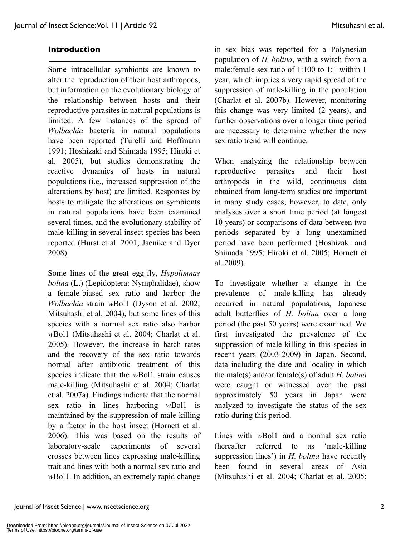### **Introduction**

Some intracellular symbionts are known to alter the reproduction of their host arthropods, but information on the evolutionary biology of the relationship between hosts and their reproductive parasites in natural populations is limited. A few instances of the spread of *Wolbachia* bacteria in natural populations have been reported (Turelli and Hoffmann 1991; Hoshizaki and Shimada 1995; Hiroki et al. 2005), but studies demonstrating the reactive dynamics of hosts in natural populations (i.e., increased suppression of the alterations by host) are limited. Responses by hosts to mitigate the alterations on symbionts in natural populations have been examined several times, and the evolutionary stability of male-killing in several insect species has been reported (Hurst et al. 2001; Jaenike and Dyer 2008).

Some lines of the great egg-fly, *Hypolimnas bolina* (L.) (Lepidoptera: Nymphalidae), show a female-biased sex ratio and harbor the *Wolbachia* strain *w*Bol1 (Dyson et al. 2002; Mitsuhashi et al. 2004), but some lines of this species with a normal sex ratio also harbor *w*Bol1 (Mitsuhashi et al. 2004; Charlat et al. 2005). However, the increase in hatch rates and the recovery of the sex ratio towards normal after antibiotic treatment of this species indicate that the *w*Bol1 strain causes male-killing (Mitsuhashi et al. 2004; Charlat et al. 2007a). Findings indicate that the normal sex ratio in lines harboring *w*Bol1 is maintained by the suppression of male-killing by a factor in the host insect (Hornett et al. 2006). This was based on the results of laboratory-scale experiments of several crosses between lines expressing male-killing trait and lines with both a normal sex ratio and *w*Bol1. In addition, an extremely rapid change

in sex bias was reported for a Polynesian population of *H. bolina*, with a switch from a male:female sex ratio of 1:100 to 1:1 within 1 year, which implies a very rapid spread of the suppression of male-killing in the population (Charlat et al. 2007b). However, monitoring this change was very limited (2 years), and further observations over a longer time period are necessary to determine whether the new sex ratio trend will continue.

When analyzing the relationship between reproductive parasites and their host arthropods in the wild, continuous data obtained from long-term studies are important in many study cases; however, to date, only analyses over a short time period (at longest 10 years) or comparisons of data between two periods separated by a long unexamined period have been performed (Hoshizaki and Shimada 1995; Hiroki et al. 2005; Hornett et al. 2009).

To investigate whether a change in the prevalence of male-killing has already occurred in natural populations, Japanese adult butterflies of *H. bolina* over a long period (the past 50 years) were examined. We first investigated the prevalence of the suppression of male-killing in this species in recent years (2003-2009) in Japan. Second, data including the date and locality in which the male(s) and/or female(s) of adult *H. bolina* were caught or witnessed over the past approximately 50 years in Japan were analyzed to investigate the status of the sex ratio during this period.

Lines with *w*Bol1 and a normal sex ratio (hereafter referred to as 'male-killing suppression lines') in *H. bolina* have recently been found in several areas of Asia (Mitsuhashi et al. 2004; Charlat et al. 2005;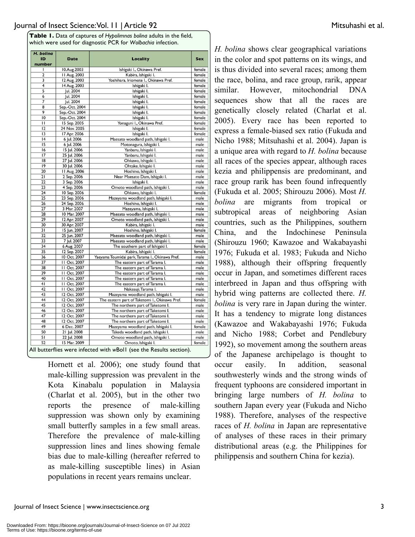**Table 1.** Data of captures of *Hypolimnas bolina* adults in the field, which were used for diagnostic PCR for *Wolbachia* infection.

| H. bolina<br>ID<br>number | <b>Date</b>      | <b>Locality</b>                                 | <b>Sex</b> |
|---------------------------|------------------|-------------------------------------------------|------------|
| ı                         | 0.Aug.2003       | Ishigaki I., Okinawa Pref.                      | female     |
| $\overline{2}$            | 11 Aug. 2003     | Kabira, Ishigaki I.                             | female     |
| 3                         | 2 Aug. 2003      | Yoshihara, Iriomote I., Okinawa Pref.           | female     |
| 4                         | 14 Aug. 2003     | Ishigaki I.                                     | female     |
| 5                         | Jul. 2004        | Ishigaki I.                                     | female     |
| 6                         | Jul. 2004        | Ishigaki I.                                     | female     |
| 7                         | <b>Jul. 2004</b> | Ishigaki I.                                     | female     |
| 8                         | Sep.-Oct. 2004   | Ishigaki I.                                     | female     |
| 9                         | Sep.-Oct. 2004   | Ishigaki I.                                     | female     |
| 10                        | Sep.-Oct. 2004   | Ishigaki I.                                     | female     |
| $\mathbf{1}$              | 15 Sep. 2005     | Yonaguni I., Okinawa Pref.                      | female     |
| $\overline{12}$           | 24 Nov. 2005     | Ishigaki I.                                     | female     |
| 13                        | 17 Apr. 2006     | Ishigaki I.                                     | female     |
| 4                         | 6 Jul. 2006      | Maesato woodland path, Ishigaki I.              | male       |
| 15                        | 6 Jul. 2006      | Motonagura, Ishigaki I.                         | male       |
| 16                        | 15 Jul. 2006     | Yanbaru, Ishigaki I.                            | male       |
| 17                        | 25 Jul. 2006     | Yanbaru, Ishigaki I.                            | male       |
| 18                        | 27 Jul. 2006     | Ohkawa, Ishigaki I.                             | male       |
| 9                         | 30 Jul. 2006     | Ohtake, Ishigaki I.                             | male       |
| 20                        | 11 Aug. 2006     | Hoshino, Ishigaki I.                            | male       |
| $\overline{21}$           | 2 Sep. 2006      | Near Maesato Dam, Ishigaki I.                   | male       |
| 22                        | 3 Sep. 2006      | Ishigaki I.                                     | male       |
| 23                        | 4 Sep. 2006      | Omoto woodland path, Ishigaki I.                | male       |
| 24                        | 10 Sep. 2006     | Ohkawa, Ishigaki I.                             | female     |
| 25                        | 23 Sep. 2006     | Mazeyama woodland path, Ishigaki I.             | male       |
| 26                        | 24 Sep. 2006     | Hoshino, Ishigaki I.                            | male       |
| 27                        | 3 Mar. 2007      | Mazeyama, Ishigaki I.                           | male       |
| 28                        | 10 Mar. 2007     | Maesato woodland path, Ishigaki I.              | male       |
| 29                        | 12 Apr. 2007     | Omoto woodland path, Ishigaki I.                | male       |
| 30                        | 30 Apr. 2007     | Kabira, Ishigaki I.                             | male       |
| 31                        | 15 Jun. 2007     | Hoshino, Ishigaki I.                            | female     |
| 32                        | 25 Jun. 2007     | Maesato woodland path, Ishigaki I.              | male       |
| 33                        | 7 Jul. 2007      | Maesato woodland path, Ishigaki I.              | male       |
| 34                        | 6 Aug. 2007      | The southern part of Ishigaki I.                | female     |
| 35                        | 12 Sep. 2007     | Kabira, Ishigaki I.                             | female     |
| 36                        | 10 Oct. 2007     | Yaeyama Toumidai park, Tarama I., Okinawa Pref. | male       |
| 37                        | 11 Oct. 2007     | The eastern part of Tarama I.                   | male       |
| 38                        | II Oct. 2007     | The eastern part of Tarama I.                   | male       |
| 39                        | II Oct. 2007     | The eastern part of Tarama I.                   | male       |
| 40                        | 11 Oct. 2007     | The eastern part of Tarama I.                   | male       |
| 41                        | 11 Oct. 2007     | The eastern part of Tarama I.                   | male       |
| 42                        | 11 Oct. 2007     | Nakasuji, Tarama I.                             | male       |
| 43                        | 12 Oct. 2007     | Mazeyama woodland path, Ishigaki I.             | male       |
| 44                        | 12 Oct. 2007     | The eastern part of Taketomi I., Okinawa Pref.  | female     |
| 45                        | 12 Oct. 2007     | The northern part of Taketomi I.                | male       |
| 46                        | 12 Oct. 2007     | The northern part of Taketomi I.                | male       |
| 47                        | 12 Oct. 2007     | The northern part of Taketomi I.                | male       |
| 48                        | 12 Oct. 2007     | The northern part of Taketomi I.                | male       |
| 49                        | 6 Dec. 2007      | Mazeyama woodland path, Ishigaki I.             | female     |
| 50                        | 21 Jul. 2008     | Takeda woodland path, Ishigaki I.               | male       |
| 51                        | 22 Jul. 2008     | Omoto woodland path, Ishigaki I.                | male       |
| 52                        | 15 Mar. 2009     | Omoto, Ishigaki I.<br>$\lambda$<br>$\cdot$ .    | female     |

All butterflies were infected with *w*Bol1 (see the Results section).

Hornett et al. 2006); one study found that male-killing suppression was prevalent in the Kota Kinabalu population in Malaysia (Charlat et al. 2005), but in the other two reports the presence of male-killing suppression was shown only by examining small butterfly samples in a few small areas. Therefore the prevalence of male-killing suppression lines and lines showing female bias due to male-killing (hereafter referred to as male-killing susceptible lines) in Asian populations in recent years remains unclear.

*H. bolina* shows clear geographical variations in the color and spot patterns on its wings, and is thus divided into several races; among them the race, bolina, and race group, rarik, appear similar. However, mitochondrial DNA sequences show that all the races are genetically closely related (Charlat et al. 2005). Every race has been reported to express a female-biased sex ratio (Fukuda and Nicho 1988; Mitsuhashi et al. 2004). Japan is a unique area with regard to *H. bolina* because all races of the species appear, although races kezia and philippensis are predominant, and race group rarik has been found infrequently (Fukuda et al. 2005; Shirouzu 2006). Most *H. bolina* are migrants from tropical or subtropical areas of neighboring Asian countries, such as the Philippines, southern China, and the Indochinese Peninsula (Shirouzu 1960; Kawazoe and Wakabayashi 1976; Fukuda et al. 1983; Fukuda and Nicho 1988), although their offspring frequently occur in Japan, and sometimes different races interbreed in Japan and thus offspring with hybrid wing patterns are collected there. *H. bolina* is very rare in Japan during the winter. It has a tendency to migrate long distances (Kawazoe and Wakabayashi 1976; Fukuda and Nicho 1988; Corbet and Pendlebury 1992), so movement among the southern areas of the Japanese archipelago is thought to occur easily. In addition, seasonal southwesterly winds and the strong winds of frequent typhoons are considered important in bringing large numbers of *H. bolina* to southern Japan every year (Fukuda and Nicho 1988). Therefore, analyses of the respective races of *H. bolina* in Japan are representative of analyses of these races in their primary distributional areas (e.g. the Philippines for philippensis and southern China for kezia).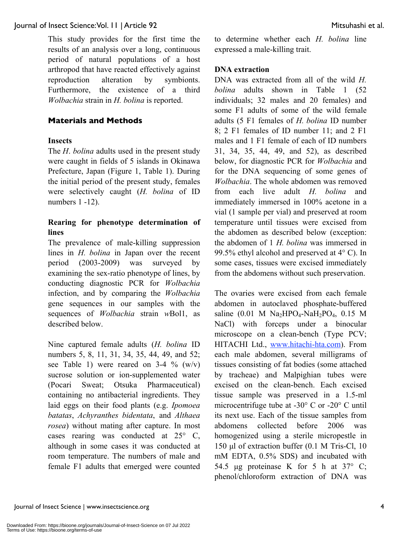This study provides for the first time the results of an analysis over a long, continuous period of natural populations of a host arthropod that have reacted effectively against reproduction alteration by symbionts. Furthermore, the existence of a third *Wolbachia* strain in *H. bolina* is reported.

### **Materials and Methods**

#### **Insects**

The *H*. *bolina* adults used in the present study were caught in fields of 5 islands in Okinawa Prefecture, Japan (Figure 1, Table 1). During the initial period of the present study, females were selectively caught (*H. bolina* of ID numbers 1 -12).

# **Rearing for phenotype determination of lines**

The prevalence of male-killing suppression lines in *H. bolina* in Japan over the recent period (2003-2009) was surveyed by examining the sex-ratio phenotype of lines, by conducting diagnostic PCR for *Wolbachia* infection, and by comparing the *Wolbachia* gene sequences in our samples with the sequences of *Wolbachia* strain *w*Bol1, as described below.

Nine captured female adults (*H. bolina* ID numbers 5, 8, 11, 31, 34, 35, 44, 49, and 52; see Table 1) were reared on 3-4  $\%$  (w/v) sucrose solution or ion-supplemented water (Pocari Sweat; Otsuka Pharmaceutical) containing no antibacterial ingredients. They laid eggs on their food plants (e.g. *Ipomoea batatas*, *Achyranthes bidentata*, and *Althaea rosea*) without mating after capture. In most cases rearing was conducted at 25° C, although in some cases it was conducted at room temperature. The numbers of male and female F1 adults that emerged were counted to determine whether each *H. bolina* line expressed a male-killing trait.

### **DNA extraction**

DNA was extracted from all of the wild *H. bolina* adults shown in Table 1 (52 individuals; 32 males and 20 females) and some F1 adults of some of the wild female adults (5 F1 females of *H. bolina* ID number 8; 2 F1 females of ID number 11; and 2 F1 males and 1 F1 female of each of ID numbers 31, 34, 35, 44, 49, and 52), as described below, for diagnostic PCR for *Wolbachia* and for the DNA sequencing of some genes of *Wolbachia*. The whole abdomen was removed from each live adult *H. bolina* and immediately immersed in 100% acetone in a vial (1 sample per vial) and preserved at room temperature until tissues were excised from the abdomen as described below (exception: the abdomen of 1 *H. bolina* was immersed in 99.5% ethyl alcohol and preserved at 4° C). In some cases, tissues were excised immediately from the abdomens without such preservation.

The ovaries were excised from each female abdomen in autoclaved phosphate-buffered saline  $(0.01 \text{ M} \text{ Na}_2 \text{H} \text{PO}_4 \text{-} \text{Na} \text{H}_2 \text{PO}_4, 0.15 \text{ M}$ NaCl) with forceps under a binocular microscope on a clean-bench (Type PCV; HITACHI Ltd., www.hitachi-hta.com). From each male abdomen, several milligrams of tissues consisting of fat bodies (some attached by tracheae) and Malpighian tubes were excised on the clean-bench. Each excised tissue sample was preserved in a 1.5-ml microcentrifuge tube at -30° C or -20° C until its next use. Each of the tissue samples from abdomens collected before 2006 was homogenized using a sterile micropestle in 150 μl of extraction buffer (0.1 M Tris-Cl, 10 mM EDTA, 0.5% SDS) and incubated with 54.5 μg proteinase K for 5 h at 37° C; phenol/chloroform extraction of DNA was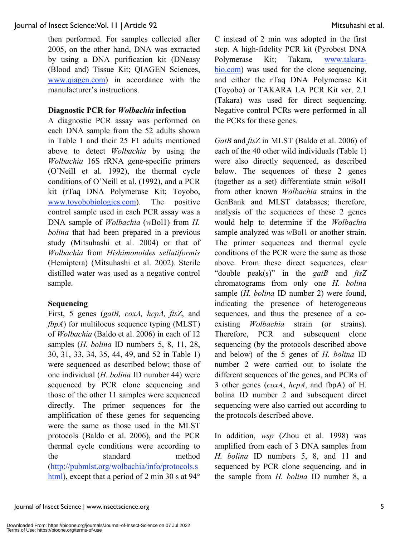then performed. For samples collected after 2005, on the other hand, DNA was extracted by using a DNA purification kit (DNeasy (Blood and) Tissue Kit; QIAGEN Sciences, www.qiagen.com) in accordance with the manufacturer's instructions.

#### **Diagnostic PCR for** *Wolbachia* **infection**

A diagnostic PCR assay was performed on each DNA sample from the 52 adults shown in Table 1 and their 25 F1 adults mentioned above to detect *Wolbachia* by using the *Wolbachia* 16S rRNA gene-specific primers (O'Neill et al. 1992), the thermal cycle conditions of O'Neill et al. (1992), and a PCR kit (rTaq DNA Polymerase Kit; Toyobo, www.toyobobiologics.com). The positive control sample used in each PCR assay was a DNA sample of *Wolbachia* (*w*Bol1) from *H. bolina* that had been prepared in a previous study (Mitsuhashi et al. 2004) or that of *Wolbachia* from *Hishimonoides sellatiformis*  (Hemiptera) (Mitsuhashi et al. 2002)*.* Sterile distilled water was used as a negative control sample.

# **Sequencing**

First, 5 genes (*gatB, coxA, hcpA, ftsZ*, and *fbpA*) for multilocus sequence typing (MLST) of *Wolbachia* (Baldo et al. 2006) in each of 12 samples (*H. bolina* ID numbers 5, 8, 11, 28, 30, 31, 33, 34, 35, 44, 49, and 52 in Table 1) were sequenced as described below; those of one individual (*H. bolina* ID number 44) were sequenced by PCR clone sequencing and those of the other 11 samples were sequenced directly. The primer sequences for the amplification of these genes for sequencing were the same as those used in the MLST protocols (Baldo et al. 2006), and the PCR thermal cycle conditions were according to the standard method (http://pubmlst.org/wolbachia/info/protocols.s html), except that a period of 2 min 30 s at 94° C instead of 2 min was adopted in the first step. A high-fidelity PCR kit (Pyrobest DNA Polymerase Kit; Takara, www.takarabio.com) was used for the clone sequencing, and either the rTaq DNA Polymerase Kit (Toyobo) or TAKARA LA PCR Kit ver. 2.1 (Takara) was used for direct sequencing. Negative control PCRs were performed in all the PCRs for these genes.

*GatB* and *ftsZ* in MLST (Baldo et al. 2006) of each of the 40 other wild individuals (Table 1) were also directly sequenced, as described below. The sequences of these 2 genes (together as a set) differentiate strain *w*Bol1 from other known *Wolbachia* strains in the GenBank and MLST databases; therefore, analysis of the sequences of these 2 genes would help to determine if the *Wolbachia* sample analyzed was *w*Bol1 or another strain. The primer sequences and thermal cycle conditions of the PCR were the same as those above. From these direct sequences, clear "double peak(s)" in the *gatB* and *ftsZ* chromatograms from only one *H. bolina* sample (*H. bolina* ID number 2) were found, indicating the presence of heterogeneous sequences, and thus the presence of a coexisting *Wolbachia* strain (or strains). Therefore, PCR and subsequent clone sequencing (by the protocols described above and below) of the 5 genes of *H. bolina* ID number 2 were carried out to isolate the different sequences of the genes, and PCRs of 3 other genes (*coxA*, *hcpA*, and fbpA) of H. bolina ID number 2 and subsequent direct sequencing were also carried out according to the protocols described above.

In addition, *wsp* (Zhou et al. 1998) was amplified from each of 3 DNA samples from *H. bolina* ID numbers 5, 8, and 11 and sequenced by PCR clone sequencing, and in the sample from *H. bolina* ID number 8, a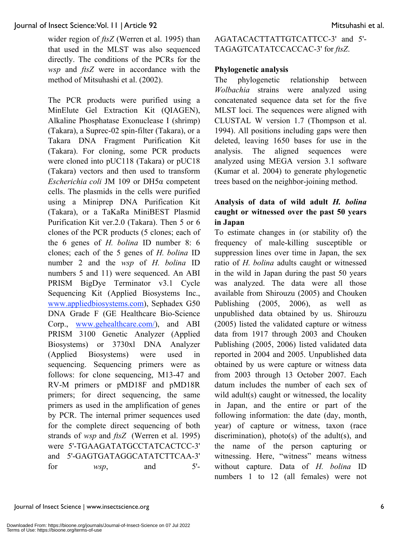wider region of *ftsZ* (Werren et al. 1995) than that used in the MLST was also sequenced directly. The conditions of the PCRs for the *wsp* and *ftsZ* were in accordance with the method of Mitsuhashi et al. (2002).

The PCR products were purified using a MinElute Gel Extraction Kit (QIAGEN), Alkaline Phosphatase Exonuclease I (shrimp) (Takara), a Suprec-02 spin-filter (Takara), or a Takara DNA Fragment Purification Kit (Takara). For cloning, some PCR products were cloned into pUC118 (Takara) or pUC18 (Takara) vectors and then used to transform *Escherichia coli* JM 109 or DH5α competent cells. The plasmids in the cells were purified using a Miniprep DNA Purification Kit (Takara), or a TaKaRa MiniBEST Plasmid Purification Kit ver.2.0 (Takara). Then 5 or 6 clones of the PCR products (5 clones; each of the 6 genes of *H. bolina* ID number 8: 6 clones; each of the 5 genes of *H. bolina* ID number 2 and the *wsp* of *H. bolina* ID numbers 5 and 11) were sequenced. An ABI PRISM BigDye Terminator v3.1 Cycle Sequencing Kit (Applied Biosystems Inc., www.appliedbiosystems.com), Sephadex G50 DNA Grade F (GE Healthcare Bio-Science Corp., www.gehealthcare.com/), and ABI PRISM 3100 Genetic Analyzer (Applied Biosystems) or 3730xl DNA Analyzer (Applied Biosystems) were used in sequencing. Sequencing primers were as follows: for clone sequencing, M13-47 and RV-M primers or pMD18F and pMD18R primers; for direct sequencing, the same primers as used in the amplification of genes by PCR. The internal primer sequences used for the complete direct sequencing of both strands of *wsp* and *ftsZ* (Werren et al. 1995) were 5'-TGAAGATATGCCTATCACTCC-3' and 5'-GAGTGATAGGCATATCTTCAA-3' for  $wsp$ , and  $5'$ -

AGATACACTTATTGTCATTCC-3' and 5'- TAGAGTCATATCCACCAC-3' for *ftsZ*.

### **Phylogenetic analysis**

The phylogenetic relationship between *Wolbachia* strains were analyzed using concatenated sequence data set for the five MLST loci. The sequences were aligned with CLUSTAL W version 1.7 (Thompson et al. 1994). All positions including gaps were then deleted, leaving 1650 bases for use in the analysis. The aligned sequences were analyzed using MEGA version 3.1 software (Kumar et al. 2004) to generate phylogenetic trees based on the neighbor-joining method.

# **Analysis of data of wild adult** *H. bolina* **caught or witnessed over the past 50 years in Japan**

To estimate changes in (or stability of) the frequency of male-killing susceptible or suppression lines over time in Japan, the sex ratio of *H. bolina* adults caught or witnessed in the wild in Japan during the past 50 years was analyzed. The data were all those available from Shirouzu (2005) and Chouken Publishing (2005, 2006), as well as unpublished data obtained by us. Shirouzu (2005) listed the validated capture or witness data from 1917 through 2003 and Chouken Publishing (2005, 2006) listed validated data reported in 2004 and 2005. Unpublished data obtained by us were capture or witness data from 2003 through 13 October 2007. Each datum includes the number of each sex of wild adult(s) caught or witnessed, the locality in Japan, and the entire or part of the following information: the date (day, month, year) of capture or witness, taxon (race discrimination), photo(s) of the adult(s), and the name of the person capturing or witnessing. Here, "witness" means witness without capture. Data of *H. bolina* ID numbers 1 to 12 (all females) were not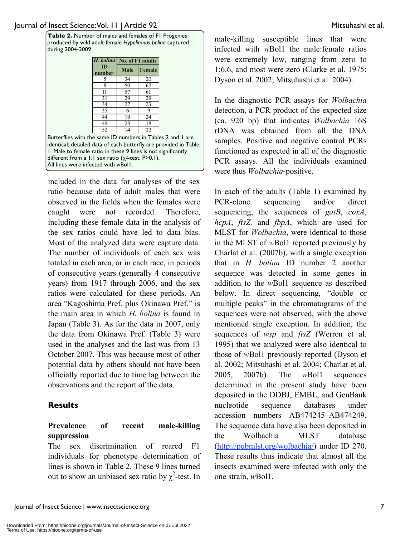**Table 2.** Number of males and females of F1 Progenies produced by wild adult female *Hypolimnas bolina* captured during 2004-2009

|                                                                                                                                                                                                 | <i>H. bolina</i>   No. of F1 adults |      |        |  |
|-------------------------------------------------------------------------------------------------------------------------------------------------------------------------------------------------|-------------------------------------|------|--------|--|
|                                                                                                                                                                                                 | ID<br>number                        | Male | Female |  |
|                                                                                                                                                                                                 | 5                                   | 34   | 20     |  |
|                                                                                                                                                                                                 | 8                                   | 50   | 67     |  |
|                                                                                                                                                                                                 | 11                                  | 57   | 61     |  |
|                                                                                                                                                                                                 | 31                                  | 29   | 29     |  |
|                                                                                                                                                                                                 | 34                                  | 27   | 23     |  |
|                                                                                                                                                                                                 | 35                                  | 6    | 9      |  |
|                                                                                                                                                                                                 | 44                                  | 19   | 24     |  |
|                                                                                                                                                                                                 | 49                                  | 23   | 18     |  |
|                                                                                                                                                                                                 | 52                                  | 14   | 22     |  |
| Butterflies with the same ID numbers in Tables 2 and 1 are<br>identical; detailed data of each butterfly are provided in Table<br>1. Male to female ratio in these 9 lines is not significantly |                                     |      |        |  |
| different from a 1:1 sex ratio $(\chi^2$ -test, P>0.1).<br>All lines were infected with wBoll.                                                                                                  |                                     |      |        |  |

included in the data for analyses of the sex ratio because data of adult males that were observed in the fields when the females were caught were not recorded. Therefore, including these female data in the analysis of the sex ratios could have led to data bias. Most of the analyzed data were capture data. The number of individuals of each sex was totaled in each area, or in each race, in periods of consecutive years (generally 4 consecutive years) from 1917 through 2006, and the sex ratios were calculated for these periods. An area "Kagoshima Pref. plus Okinawa Pref." is the main area in which *H. bolina* is found in Japan (Table 3). As for the data in 2007, only the data from Okinawa Pref. (Table 3) were used in the analyses and the last was from 13 October 2007. This was because most of other potential data by others should not have been officially reported due to time lag between the observations and the report of the data.

# **Results**

# **Prevalence of recent male-killing suppression**

The sex discrimination of reared F1 individuals for phenotype determination of lines is shown in Table 2. These 9 lines turned out to show an unbiased sex ratio by  $\chi^2$ -test. In male-killing susceptible lines that were infected with *w*Bol1 the male:female ratios were extremely low, ranging from zero to 1:6.6, and most were zero (Clarke et al. 1975; Dyson et al. 2002; Mitsuhashi et al. 2004).

In the diagnostic PCR assays for *Wolbachia* detection, a PCR product of the expected size (ca. 920 bp) that indicates *Wolbachia* 16S rDNA was obtained from all the DNA samples. Positive and negative control PCRs functioned as expected in all of the diagnostic PCR assays. All the individuals examined were thus *Wolbachia*-positive.

In each of the adults (Table 1) examined by PCR-clone sequencing and/or direct sequencing, the sequences of *gatB*, *coxA*, *hcpA*, *ftsZ,* and *fbpA*, which are used for MLST for *Wolbachia*, were identical to those in the MLST of *w*Bol1 reported previously by Charlat et al. (2007b), with a single exception that in *H. bolina* ID number 2 another sequence was detected in some genes in addition to the *w*Bol1 sequence as described below. In direct sequencing, "double or multiple peaks" in the chromatograms of the sequences were not observed, with the above mentioned single exception. In addition, the sequences of *wsp* and *ftsZ* (Werren et al. 1995) that we analyzed were also identical to those of *w*Bol1 previously reported (Dyson et al. 2002; Mitsuhashi et al. 2004; Charlat et al. 2005, 2007b). The *w*Bol1 sequences determined in the present study have been deposited in the DDBJ, EMBL, and GenBank nucleotide sequence databases under accession numbers AB474245–AB474249. The sequence data have also been deposited in the Wolbachia MLST database (http://pubmlst.org/wolbachia/) under ID 270. These results thus indicate that almost all the insects examined were infected with only the one strain, *w*Bol1.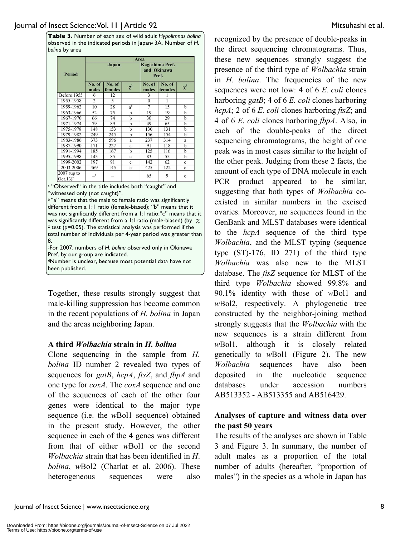**Table 3.** Number of each sex of wild adult *Hypolimnas bolina* observed in the indicated periods in Japana 3A. Number of *H. bolina* by area

|                                       | Area            |                   |              |                                         |                   |              |  |  |  |
|---------------------------------------|-----------------|-------------------|--------------|-----------------------------------------|-------------------|--------------|--|--|--|
| <b>Period</b>                         |                 | Japan             |              | Kagoshima Pref.<br>and Okinawa<br>Pref. |                   |              |  |  |  |
|                                       | No. of<br>males | No. of<br>females | $\chi^2$     | No. of<br>males                         | No. of<br>females | $\chi^2$     |  |  |  |
| Before 1955                           | 6               | 12                |              | 3                                       |                   |              |  |  |  |
| 1955-1958                             | $\overline{2}$  | 5                 |              | $\theta$                                |                   |              |  |  |  |
| 1959-1962                             | 10              | 28                | $a^b$        | 7                                       | 15                | $\mathbf b$  |  |  |  |
| 1963-1966                             | 52              | 75                | $\mathbf b$  | 19                                      | 19                | $\mathbf b$  |  |  |  |
| 1967-1970                             | 66              | 74                | h            | 30                                      | 29                | $\mathbf{h}$ |  |  |  |
| 1971-1974                             | 79              | 89                | $\mathbf b$  | 49                                      | 65                | b            |  |  |  |
| 1975-1978                             | 148             | 153               | b            | 130                                     | 131               | $\mathbf b$  |  |  |  |
| 1979-1982                             | 249             | 245               | h            | 156                                     | 154               | $\mathbf b$  |  |  |  |
| 1983-1986                             | 373             | 596               | a            | 237                                     | 314               | a            |  |  |  |
| 1987-1990                             | 171             | 227               | a            | 91                                      | 118               | $\mathbf b$  |  |  |  |
| 1991-1994                             | 185             | 167               | h            | 125                                     | 116               | $\mathbf b$  |  |  |  |
| 1995-1998                             | 143             | 85                | $\mathbf{c}$ | 83                                      | 55                | h            |  |  |  |
| 1999-2002                             | 197             | 91                | $\mathbf{c}$ | 142                                     | 62                | $\mathbf{c}$ |  |  |  |
| 2003-2006                             | 469             | 145               | $\mathbf{c}$ | 425                                     | 122               | $\ddot{c}$   |  |  |  |
| 2007 (up to<br>$Oct.13)$ <sup>c</sup> | $-$ d           |                   |              | 65                                      | 9                 | $\mathbf{c}$ |  |  |  |

a "Observed" in the title includes both "caught" and "witnessed only (not caught)".

b "a" means that the male to female ratio was significantly different from a 1:1 ratio (female-biased); "b" means that it was not significantly different from a 1:1ratio;"c" means that it was significantly different from a 1:1 ratio (male-biased) (by  $\chi$ <sup>2</sup> test (p=0.05). The statistical analysis was performed if the total number of individuals per 4-year period was greater than 8. cFor 2007, numbers of *H. bolina* observed only in Okinawa Pref. by our group are indicated. dNumber is unclear, because most potential data have not been published.

Together, these results strongly suggest that male-killing suppression has become common in the recent populations of *H. bolina* in Japan and the areas neighboring Japan.

# **A third** *Wolbachia* **strain in** *H. bolina*

Clone sequencing in the sample from *H. bolina* ID number 2 revealed two types of sequences for *gatB*, *hcpA*, *ftsZ*, and *fbpA* and one type for *coxA*. The *coxA* sequence and one of the sequences of each of the other four genes were identical to the major type sequence (i.e. the *w*Bol1 sequence) obtained in the present study. However, the other sequence in each of the 4 genes was different from that of either *w*Bol1 or the second *Wolbachia* strain that has been identified in *H*. *bolina*, *w*Bol2 (Charlat et al. 2006). These heterogeneous sequences were also

recognized by the presence of double-peaks in the direct sequencing chromatograms. Thus, these new sequences strongly suggest the presence of the third type of *Wolbachia* strain in *H. bolina*. The frequencies of the new sequences were not low: 4 of 6 *E. coli* clones harboring *gatB*; 4 of 6 *E. coli* clones harboring *hcpA*; 2 of 6 *E. coli* clones harboring *ftsZ*; and 4 of 6 *E. coli* clones harboring *fbpA*. Also, in each of the double-peaks of the direct sequencing chromatograms, the height of one peak was in most cases similar to the height of the other peak. Judging from these 2 facts, the amount of each type of DNA molecule in each PCR product appeared to be similar, suggesting that both types of *Wolbachia* coexisted in similar numbers in the excised ovaries. Moreover, no sequences found in the GenBank and MLST databases were identical to the *hcpA* sequence of the third type *Wolbachia*, and the MLST typing (sequence type (ST)-176, ID 271) of the third type *Wolbachia* was also new to the MLST database. The *ftsZ* sequence for MLST of the third type *Wolbachia* showed 99.8% and 90.1% identity with those of *w*Bol1 and *w*Bol2, respectively. A phylogenetic tree constructed by the neighbor-joining method strongly suggests that the *Wolbachia* with the new sequences is a strain different from *w*Bol1, although it is closely related genetically to *w*Bol1 (Figure 2). The new *Wolbachia* sequences have also been deposited in the nucleotide sequence databases under accession numbers AB513352 - AB513355 and AB516429.

# **Analyses of capture and witness data over the past 50 years**

The results of the analyses are shown in Table 3 and Figure 3. In summary, the number of adult males as a proportion of the total number of adults (hereafter, "proportion of males") in the species as a whole in Japan has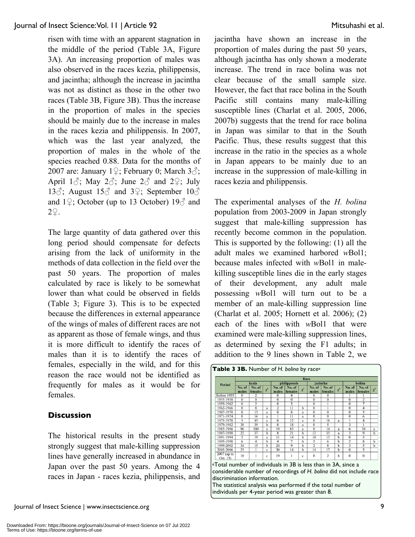risen with time with an apparent stagnation in the middle of the period (Table 3A, Figure 3A). An increasing proportion of males was also observed in the races kezia, philippensis, and jacintha; although the increase in jacintha was not as distinct as those in the other two races (Table 3B, Figure 3B). Thus the increase in the proportion of males in the species should be mainly due to the increase in males in the races kezia and philippensis. In 2007, which was the last year analyzed, the proportion of males in the whole of the species reached 0.88. Data for the months of 2007 are: January 1 $\circ$ ; February 0; March 3 $\circ$ ; April 1 $\circ$ ; May 2 $\circ$ ; June 2 $\circ$  and 2 $\circ$ ; July 13 $\delta$ ; August 15 $\delta$  and 3 $\epsilon$ ; September 10 $\delta$ and  $1\frac{1}{2}$ ; October (up to 13 October)  $19\frac{3}{2}$  and  $2\overline{2}.$ 

The large quantity of data gathered over this long period should compensate for defects arising from the lack of uniformity in the methods of data collection in the field over the past 50 years. The proportion of males calculated by race is likely to be somewhat lower than what could be observed in fields (Table 3; Figure 3). This is to be expected because the differences in external appearance of the wings of males of different races are not as apparent as those of female wings, and thus it is more difficult to identify the races of males than it is to identify the races of females, especially in the wild, and for this reason the race would not be identified as frequently for males as it would be for females.

# **Discussion**

The historical results in the present study strongly suggest that male-killing suppression lines have generally increased in abundance in Japan over the past 50 years. Among the 4 races in Japan - races kezia, philippensis, and

Journal of Insect Science | www.insectscience.org 9

jacintha have shown an increase in the proportion of males during the past 50 years, although jacintha has only shown a moderate increase. The trend in race bolina was not clear because of the small sample size. However, the fact that race bolina in the South Pacific still contains many male-killing susceptible lines (Charlat et al. 2005, 2006, 2007b) suggests that the trend for race bolina in Japan was similar to that in the South Pacific. Thus, these results suggest that this increase in the ratio in the species as a whole in Japan appears to be mainly due to an increase in the suppression of male-killing in races kezia and philippensis.

The experimental analyses of the *H. bolina*  population from 2003-2009 in Japan strongly suggest that male-killing suppression has recently become common in the population. This is supported by the following: (1) all the adult males we examined harbored *w*Bol1; because males infected with *w*Bol1 in malekilling susceptible lines die in the early stages of their development, any adult male possessing *w*Bol1 will turn out to be a member of an male-killing suppression line (Charlat et al. 2005; Hornett et al. 2006); (2) each of the lines with *w*Bol1 that were examined were male-killing suppression lines, as determined by sexing the F1 adults; in addition to the 9 lines shown in Table 2, we

| <b>Period</b>                                                                                                                                                                                                                                     | Race            |                   |             |                 |                   |              |                 |                   |          |                 |                         |                |
|---------------------------------------------------------------------------------------------------------------------------------------------------------------------------------------------------------------------------------------------------|-----------------|-------------------|-------------|-----------------|-------------------|--------------|-----------------|-------------------|----------|-----------------|-------------------------|----------------|
|                                                                                                                                                                                                                                                   | kezia           |                   |             | philippensis    |                   |              | jacintha        |                   |          | bolina          |                         |                |
|                                                                                                                                                                                                                                                   | No. of<br>males | No. of<br>females | $\chi^2$    | No. of<br>males | No. of<br>females | $\chi^2$     | No. of<br>males | No. of<br>females | $\chi^2$ | No. of<br>males | No. of<br>females       | $\chi^2$       |
| Before 1955                                                                                                                                                                                                                                       | $\Omega$        | 2                 |             | $\Omega$        | 4                 |              | $\Omega$        | $\Omega$          |          |                 |                         |                |
| 1955-1958                                                                                                                                                                                                                                         | $\mathbf{0}$    | $\overline{0}$    |             | $\Omega$        | $\overline{0}$    |              | $\Omega$        | $\Omega$          |          | $\overline{0}$  | $\overline{2}$          |                |
| 1959-1962                                                                                                                                                                                                                                         | $\mathbf{0}$    | $\overline{2}$    |             | $\mathbf{0}$    | 3                 |              | $\bf{0}$        |                   |          | $\Omega$        | 7                       |                |
| 1963-1966                                                                                                                                                                                                                                         | $\mathbf{0}$    | 8                 | a           | $\overline{c}$  | 11                | b            | $\Omega$        |                   |          | $\theta$        | $\overline{4}$          |                |
| 1967-1970                                                                                                                                                                                                                                         | $\bf{0}$        | 13                | a           | $\Omega$        | 8                 | a            | $\bf{0}$        | $\Omega$          |          | $\Omega$        | 5                       |                |
| 1971-1974                                                                                                                                                                                                                                         | $\Omega$        | 16                | a           |                 | 11                | a            | $\Omega$        | $\overline{0}$    |          | $\Omega$        | 6                       |                |
| 1975-1978                                                                                                                                                                                                                                         | 5               | 43                | a           | $\overline{0}$  | 12                | a            | $\overline{0}$  | 18                | a        |                 | 4                       |                |
| 1979-1982                                                                                                                                                                                                                                         | 38              | 39                | $\mathbf b$ | $\overline{0}$  | 18                | a            | $\overline{0}$  | 5                 |          | 3               | 1                       |                |
| 1983-1986                                                                                                                                                                                                                                         | 96              | 180               | a           | 19              | 83                | a            | $\Omega$        | 14                | a        | 6               | 34                      | a              |
| 1987-1990                                                                                                                                                                                                                                         | 22              | 37                | $\mathbf b$ | 8               | 21                | h            | 12              | 33                | a        | 3               | 9                       | $\mathbf{h}$   |
| 1991-1994                                                                                                                                                                                                                                         | 5               | 19                | a           | $\overline{11}$ | 14                | $\mathbf b$  | 10              | 15                | b        | $\overline{0}$  | 5                       |                |
| 1995-1998                                                                                                                                                                                                                                         | 6               | $\overline{4}$    | $\mathbf b$ | $\overline{4}$  | 7                 | $\mathbf b$  | 5               | 6                 | h        | $\overline{2}$  | $\overline{\mathbf{x}}$ | $\overline{h}$ |
| 1999-2002                                                                                                                                                                                                                                         | 34              | 15                | $\mathbf b$ | 24              | $\mathbf Q$       | h            | $\overline{2}$  | 8                 | h        | 3               | 5                       | $\mathbf b$    |
| 2003-2006                                                                                                                                                                                                                                         | 25              | ī                 | $\mathbf c$ | 30              | 14                | b            | 14              | 17                | b        | $\Omega$        | 5                       |                |
| 2007 (up to<br>Oct. 13)                                                                                                                                                                                                                           | 10              | 1                 | c           | 19              | 1                 | $\mathbf{c}$ | 8               | $\overline{2}$    | h        | $\Omega$        | $\Omega$                |                |
| <sup>e</sup> Total number of individuals in 3B is less than in 3A, since a<br>considerable number of recordings of H. boling did not include race<br>discrimination information.<br>The statistical analysis was performed if the total number of |                 |                   |             |                 |                   |              |                 |                   |          |                 |                         |                |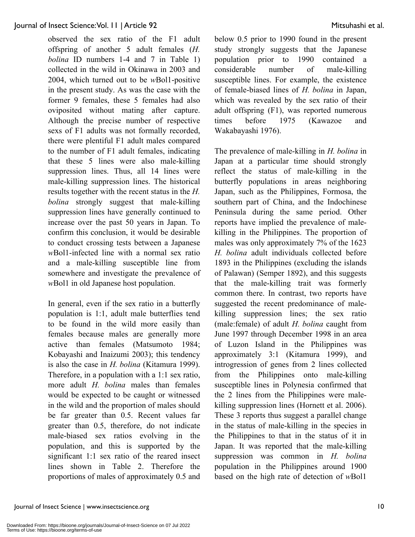observed the sex ratio of the F1 adult offspring of another 5 adult females (*H. bolina* ID numbers 1-4 and 7 in Table 1) collected in the wild in Okinawa in 2003 and 2004, which turned out to be *w*Bol1-positive in the present study. As was the case with the former 9 females, these 5 females had also oviposited without mating after capture. Although the precise number of respective sexs of F1 adults was not formally recorded, there were plentiful F1 adult males compared to the number of F1 adult females, indicating that these 5 lines were also male-killing suppression lines. Thus, all 14 lines were male-killing suppression lines. The historical results together with the recent status in the *H. bolina* strongly suggest that male-killing suppression lines have generally continued to increase over the past 50 years in Japan. To confirm this conclusion, it would be desirable to conduct crossing tests between a Japanese *w*Bol1-infected line with a normal sex ratio and a male-killing susceptible line from somewhere and investigate the prevalence of *w*Bol1 in old Japanese host population.

In general, even if the sex ratio in a butterfly population is 1:1, adult male butterflies tend to be found in the wild more easily than females because males are generally more active than females (Matsumoto 1984; Kobayashi and Inaizumi 2003); this tendency is also the case in *H. bolina* (Kitamura 1999). Therefore, in a population with a 1:1 sex ratio, more adult *H. bolina* males than females would be expected to be caught or witnessed in the wild and the proportion of males should be far greater than 0.5. Recent values far greater than 0.5, therefore, do not indicate male-biased sex ratios evolving in the population, and this is supported by the significant 1:1 sex ratio of the reared insect lines shown in Table 2. Therefore the proportions of males of approximately 0.5 and below 0.5 prior to 1990 found in the present study strongly suggests that the Japanese population prior to 1990 contained a considerable number of male-killing susceptible lines. For example, the existence of female-biased lines of *H. bolina* in Japan, which was revealed by the sex ratio of their adult offspring (F1), was reported numerous times before 1975 (Kawazoe and Wakabayashi 1976).

The prevalence of male-killing in *H. bolina* in Japan at a particular time should strongly reflect the status of male-killing in the butterfly populations in areas neighboring Japan, such as the Philippines, Formosa, the southern part of China, and the Indochinese Peninsula during the same period. Other reports have implied the prevalence of malekilling in the Philippines. The proportion of males was only approximately 7% of the 1623 *H. bolina* adult individuals collected before 1893 in the Philippines (excluding the islands of Palawan) (Semper 1892), and this suggests that the male-killing trait was formerly common there. In contrast, two reports have suggested the recent predominance of malekilling suppression lines; the sex ratio (male:female) of adult *H. bolina* caught from June 1997 through December 1998 in an area of Luzon Island in the Philippines was approximately 3:1 (Kitamura 1999), and introgression of genes from 2 lines collected from the Philippines onto male-killing susceptible lines in Polynesia confirmed that the 2 lines from the Philippines were malekilling suppression lines (Hornett et al. 2006). These 3 reports thus suggest a parallel change in the status of male-killing in the species in the Philippines to that in the status of it in Japan. It was reported that the male-killing suppression was common in *H. bolina* population in the Philippines around 1900 based on the high rate of detection of *w*Bol1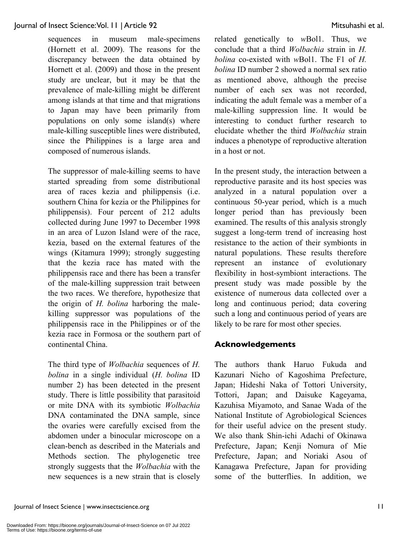sequences in museum male-specimens (Hornett et al. 2009). The reasons for the discrepancy between the data obtained by Hornett et al. (2009) and those in the present study are unclear, but it may be that the prevalence of male-killing might be different among islands at that time and that migrations to Japan may have been primarily from populations on only some island(s) where male-killing susceptible lines were distributed, since the Philippines is a large area and composed of numerous islands.

The suppressor of male-killing seems to have started spreading from some distributional area of races kezia and philippensis (i.e. southern China for kezia or the Philippines for philippensis). Four percent of 212 adults collected during June 1997 to December 1998 in an area of Luzon Island were of the race, kezia, based on the external features of the wings (Kitamura 1999); strongly suggesting that the kezia race has mated with the philippensis race and there has been a transfer of the male-killing suppression trait between the two races. We therefore, hypothesize that the origin of *H. bolina* harboring the malekilling suppressor was populations of the philippensis race in the Philippines or of the kezia race in Formosa or the southern part of continental China.

The third type of *Wolbachia* sequences of *H. bolina* in a single individual (*H. bolina* ID number 2) has been detected in the present study. There is little possibility that parasitoid or mite DNA with its symbiotic *Wolbachia* DNA contaminated the DNA sample, since the ovaries were carefully excised from the abdomen under a binocular microscope on a clean-bench as described in the Materials and Methods section. The phylogenetic tree strongly suggests that the *Wolbachia* with the new sequences is a new strain that is closely related genetically to *w*Bol1. Thus, we conclude that a third *Wolbachia* strain in *H. bolina* co-existed with *w*Bol1. The F1 of *H. bolina* ID number 2 showed a normal sex ratio as mentioned above, although the precise number of each sex was not recorded, indicating the adult female was a member of a male-killing suppression line. It would be interesting to conduct further research to elucidate whether the third *Wolbachia* strain induces a phenotype of reproductive alteration in a host or not.

In the present study, the interaction between a reproductive parasite and its host species was analyzed in a natural population over a continuous 50-year period, which is a much longer period than has previously been examined. The results of this analysis strongly suggest a long-term trend of increasing host resistance to the action of their symbionts in natural populations. These results therefore represent an instance of evolutionary flexibility in host-symbiont interactions. The present study was made possible by the existence of numerous data collected over a long and continuous period; data covering such a long and continuous period of years are likely to be rare for most other species.

# **Acknowledgements**

The authors thank Haruo Fukuda and Kazunari Nicho of Kagoshima Prefecture, Japan; Hideshi Naka of Tottori University, Tottori, Japan; and Daisuke Kageyama, Kazuhisa Miyamoto, and Sanae Wada of the National Institute of Agrobiological Sciences for their useful advice on the present study. We also thank Shin-ichi Adachi of Okinawa Prefecture, Japan; Kenji Nomura of Mie Prefecture, Japan; and Noriaki Asou of Kanagawa Prefecture, Japan for providing some of the butterflies. In addition, we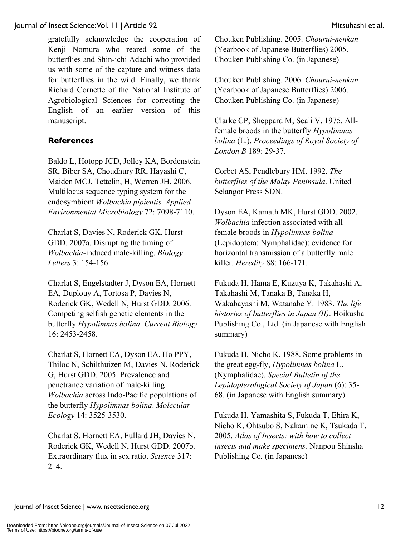gratefully acknowledge the cooperation of Kenji Nomura who reared some of the butterflies and Shin-ichi Adachi who provided us with some of the capture and witness data for butterflies in the wild. Finally, we thank Richard Cornette of the National Institute of Agrobiological Sciences for correcting the English of an earlier version of this manuscript.

#### **References**

Baldo L, Hotopp JCD, Jolley KA, Bordenstein SR, Biber SA, Choudhury RR, Hayashi C, Maiden MCJ, Tettelin, H, Werren JH. 2006. Multilocus sequence typing system for the endosymbiont *Wolbachia pipientis. Applied Environmental Microbiology* 72: 7098-7110.

Charlat S, Davies N, Roderick GK, Hurst GDD. 2007a. Disrupting the timing of *Wolbachia*-induced male-killing. *Biology Letters* 3: 154-156.

Charlat S, Engelstadter J, Dyson EA, Hornett EA, Duplouy A, Tortosa P, Davies N, Roderick GK, Wedell N, Hurst GDD. 2006. Competing selfish genetic elements in the butterfly *Hypolimnas bolina*. *Current Biology* 16: 2453-2458.

Charlat S, Hornett EA, Dyson EA, Ho PPY, Thiloc N, Schilthuizen M, Davies N, Roderick G, Hurst GDD. 2005. Prevalence and penetrance variation of male-killing *Wolbachia* across Indo-Pacific populations of the butterfly *Hypolimnas bolina*. *Molecular Ecology* 14: 3525-3530.

Charlat S, Hornett EA, Fullard JH, Davies N, Roderick GK, Wedell N, Hurst GDD. 2007b. Extraordinary flux in sex ratio. *Science* 317: 214.

Chouken Publishing. 2005. *Chourui-nenkan* (Yearbook of Japanese Butterflies) 2005. Chouken Publishing Co. (in Japanese)

Chouken Publishing. 2006. *Chourui-nenkan* (Yearbook of Japanese Butterflies) 2006. Chouken Publishing Co. (in Japanese)

Clarke CP, Sheppard M, Scali V. 1975. Allfemale broods in the butterfly *Hypolimnas bolina* (L.). *Proceedings of Royal Society of London B* 189: 29-37.

Corbet AS, Pendlebury HM. 1992. *The butterflies of the Malay Peninsula*. United Selangor Press SDN.

Dyson EA, Kamath MK, Hurst GDD. 2002. *Wolbachia* infection associated with allfemale broods in *Hypolimnas bolina* (Lepidoptera: Nymphalidae): evidence for horizontal transmission of a butterfly male killer. *Heredity* 88: 166-171.

Fukuda H, Hama E, Kuzuya K, Takahashi A, Takahashi M, Tanaka B, Tanaka H, Wakabayashi M, Watanabe Y. 1983. *The life histories of butterflies in Japan (II)*. Hoikusha Publishing Co., Ltd. (in Japanese with English summary)

Fukuda H, Nicho K. 1988. Some problems in the great egg-fly, *Hypolimnas bolina* L. (Nymphalidae). *Special Bulletin of the Lepidopterological Society of Japan* (6): 35- 68. (in Japanese with English summary)

Fukuda H, Yamashita S, Fukuda T, Ehira K, Nicho K, Ohtsubo S, Nakamine K, Tsukada T. 2005. *Atlas of Insects: with how to collect insects and make specimens.* Nanpou Shinsha Publishing Co*.* (in Japanese)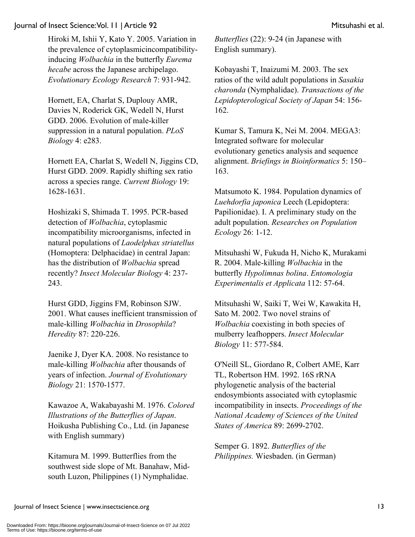Hiroki M, Ishii Y, Kato Y. 2005. Variation in the prevalence of cytoplasmicincompatibilityinducing *Wolbachia* in the butterfly *Eurema hecabe* across the Japanese archipelago. *Evolutionary Ecology Research* 7: 931-942.

Hornett, EA, Charlat S, Duplouy AMR, Davies N, Roderick GK, Wedell N, Hurst GDD. 2006. Evolution of male-killer suppression in a natural population. *PLoS Biology* 4: e283.

Hornett EA, Charlat S, Wedell N, Jiggins CD, Hurst GDD. 2009. Rapidly shifting sex ratio across a species range. *Current Biology* 19: 1628-1631.

Hoshizaki S, Shimada T. 1995. PCR-based detection of *Wolbachia*, cytoplasmic incompatibility microorganisms, infected in natural populations of *Laodelphax striatellus* (Homoptera: Delphacidae) in central Japan: has the distribution of *Wolbachia* spread recently? *Insect Molecular Biology* 4: 237- 243.

Hurst GDD, Jiggins FM, Robinson SJW. 2001. What causes inefficient transmission of male-killing *Wolbachia* in *Drosophila*? *Heredity* 87: 220-226.

Jaenike J, Dyer KA. 2008. No resistance to male-killing *Wolbachia* after thousands of years of infection. *Journal of Evolutionary Biology* 21: 1570-1577.

Kawazoe A, Wakabayashi M. 1976. *Colored Illustrations of the Butterflies of Japan*. Hoikusha Publishing Co., Ltd. (in Japanese with English summary)

Kitamura M. 1999. Butterflies from the southwest side slope of Mt. Banahaw, Midsouth Luzon, Philippines (1) Nymphalidae.

*Butterflies* (22): 9-24 (in Japanese with English summary).

Kobayashi T, Inaizumi M. 2003. The sex ratios of the wild adult populations in *Sasakia charonda* (Nymphalidae). *Transactions of the Lepidopterological Society of Japan* 54: 156- 162.

Kumar S, Tamura K, Nei M. 2004. MEGA3: Integrated software for molecular evolutionary genetics analysis and sequence alignment. *Briefings in Bioinformatics* 5: 150– 163.

Matsumoto K. 1984. Population dynamics of *Luehdorfia japonica* Leech (Lepidoptera: Papilionidae). I. A preliminary study on the adult population. *Researches on Population Ecology* 26: 1-12.

Mitsuhashi W, Fukuda H, Nicho K, Murakami R. 2004. Male-killing *Wolbachia* in the butterfly *Hypolimnas bolina*. *Entomologia Experimentalis et Applicata* 112: 57-64.

Mitsuhashi W, Saiki T, Wei W, Kawakita H, Sato M. 2002. Two novel strains of *Wolbachia* coexisting in both species of mulberry leafhoppers. *Insect Molecular Biology* 11: 577-584.

O'Neill SL, Giordano R, Colbert AME, Karr TL, Robertson HM. 1992. 16S rRNA phylogenetic analysis of the bacterial endosymbionts associated with cytoplasmic incompatibility in insects. *Proceedings of the National Academy of Sciences of the United States of America* 89: 2699-2702.

Semper G. 1892. *Butterflies of the Philippines.* Wiesbaden. (in German)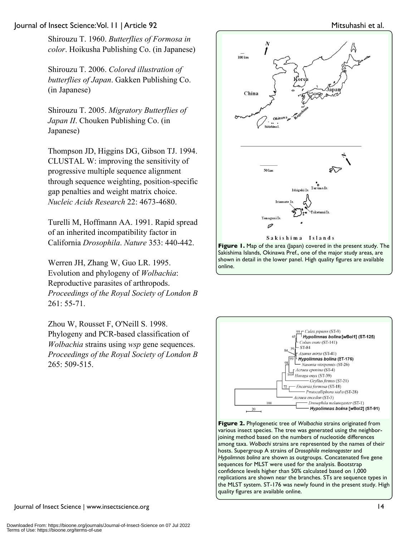Shirouzu T. 1960. *Butterflies of Formosa in color*. Hoikusha Publishing Co. (in Japanese)

Shirouzu T. 2006. *Colored illustration of butterflies of Japan*. Gakken Publishing Co. (in Japanese)

Shirouzu T. 2005. *Migratory Butterflies of Japan II*. Chouken Publishing Co. (in Japanese)

Thompson JD, Higgins DG, Gibson TJ. 1994. CLUSTAL W: improving the sensitivity of progressive multiple sequence alignment through sequence weighting, position-specific gap penalties and weight matrix choice. *Nucleic Acids Research* 22: 4673-4680.

Turelli M, Hoffmann AA. 1991. Rapid spread of an inherited incompatibility factor in California *Drosophila*. *Nature* 353: 440-442.

Werren JH, Zhang W, Guo LR. 1995. Evolution and phylogeny of *Wolbachia*: Reproductive parasites of arthropods. *Proceedings of the Royal Society of London B* 261: 55-71.

Zhou W, Rousset F, O'Neill S. 1998. Phylogeny and PCR-based classification of *Wolbachia* strains using *wsp* gene sequences. *Proceedings of the Royal Society of London B* 265: 509-515.



Sakishima Islands, Okinawa Pref., one of the major study areas, are shown in detail in the lower panel. High quality figures are available online.



hosts. Supergroup A strains of *Drosophila melanogaster* and *Hypolimnas bolina* are shown as outgroups. Concatenated five gene sequences for MLST were used for the analysis. Bootstrap confidence levels higher than 50% calculated based on 1,000 replications are shown near the branches. STs are sequence types in the MLST system. ST-176 was newly found in the present study. High quality figures are available online.

Journal of Insect Science | www.insectscience.org 14